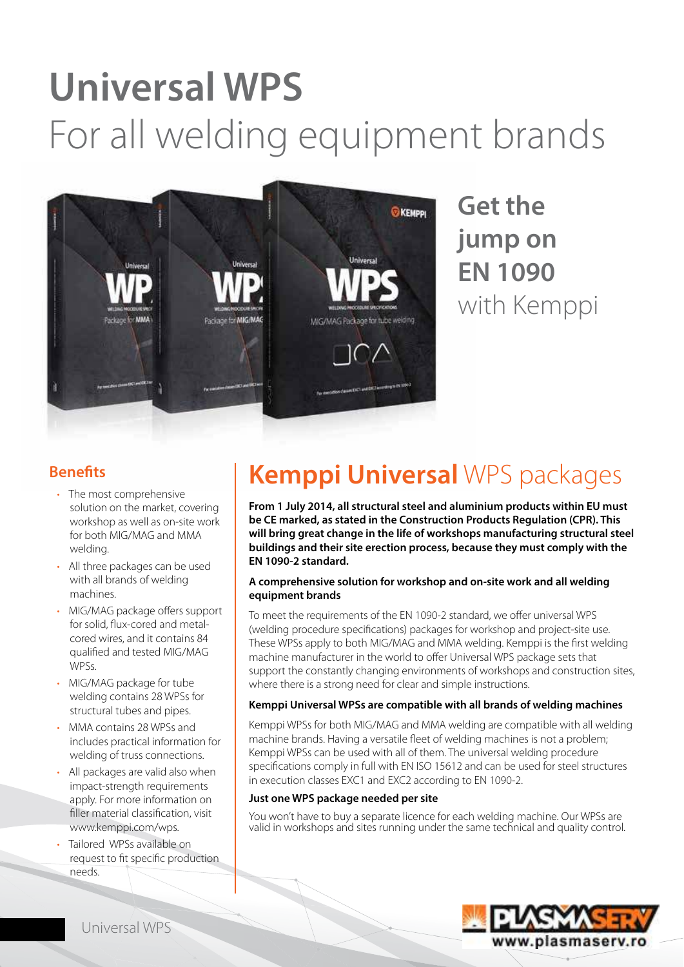# **Universal WPS** For all welding equipment brands



**Get the jump on EN 1090**  with Kemppi

### **Benefits**

- The most comprehensive solution on the market, covering workshop as well as on-site work for both MIG/MAG and MMA welding.
- All three packages can be used with all brands of welding machines.
- MIG/MAG package offers support for solid, flux-cored and metalcored wires, and it contains 84 qualified and tested MIG/MAG WPSs.
- MIG/MAG package for tube welding contains 28 WPSs for structural tubes and pipes.
- MMA contains 28 WPSs and includes practical information for welding of truss connections.
- All packages are valid also when impact-strength requirements apply. For more information on filler material classification, visit www.kemppi.com/wps.
- Tailored WPSs available on request to fit specific production needs.

# **Kemppi Universal** WPS packages

**From 1 July 2014, all structural steel and aluminium products within EU must be CE marked, as stated in the Construction Products Regulation (CPR). This will bring great change in the life of workshops manufacturing structural steel buildings and their site erection process, because they must comply with the EN 1090-2 standard.**

#### **A comprehensive solution for workshop and on-site work and all welding equipment brands**

To meet the requirements of the EN 1090-2 standard, we offer universal WPS (welding procedure specifications) packages for workshop and project-site use. These WPSs apply to both MIG/MAG and MMA welding. Kemppi is the first welding machine manufacturer in the world to offer Universal WPS package sets that support the constantly changing environments of workshops and construction sites, where there is a strong need for clear and simple instructions.

#### **Kemppi Universal WPSs are compatible with all brands of welding machines**

Kemppi WPSs for both MIG/MAG and MMA welding are compatible with all welding machine brands. Having a versatile fleet of welding machines is not a problem; Kemppi WPSs can be used with all of them. The universal welding procedure specifications comply in full with EN ISO 15612 and can be used for steel structures in execution classes EXC1 and EXC2 according to EN 1090-2.

#### **Just one WPS package needed per site**

You won't have to buy a separate licence for each welding machine. Our WPSs are valid in workshops and sites running under the same technical and quality control.